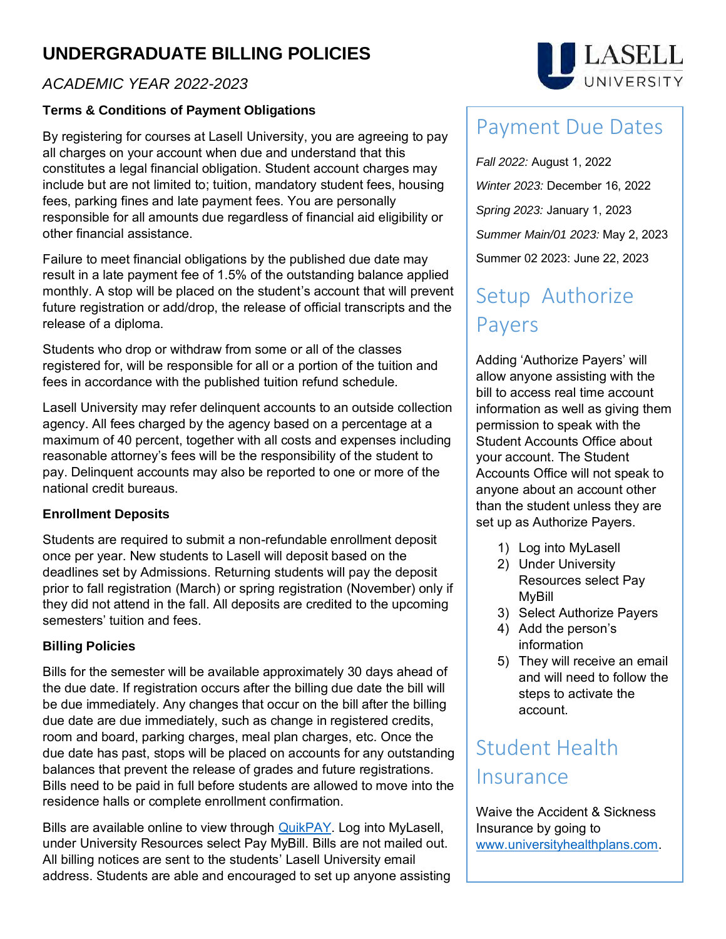## **UNDERGRADUATE BILLING POLICIES**

## *ACADEMIC YEAR 2022-2023*

## **Terms & Conditions of Payment Obligations**

By registering for courses at Lasell University, you are agreeing to pay all charges on your account when due and understand that this constitutes a legal financial obligation. Student account charges may include but are not limited to; tuition, mandatory student fees, housing fees, parking fines and late payment fees. You are personally responsible for all amounts due regardless of financial aid eligibility or other financial assistance.

Failure to meet financial obligations by the published due date may result in a late payment fee of 1.5% of the outstanding balance applied monthly. A stop will be placed on the student's account that will prevent future registration or add/drop, the release of official transcripts and the release of a diploma.

Students who drop or withdraw from some or all of the classes registered for, will be responsible for all or a portion of the tuition and fees in accordance with the published tuition refund schedule.

Lasell University may refer delinquent accounts to an outside collection agency. All fees charged by the agency based on a percentage at a maximum of 40 percent, together with all costs and expenses including reasonable attorney's fees will be the responsibility of the student to pay. Delinquent accounts may also be reported to one or more of the national credit bureaus.

## **Enrollment Deposits**

Students are required to submit a non-refundable enrollment deposit once per year. New students to Lasell will deposit based on the deadlines set by Admissions. Returning students will pay the deposit prior to fall registration (March) or spring registration (November) only if they did not attend in the fall. All deposits are credited to the upcoming semesters' tuition and fees.

## **Billing Policies**

Bills for the semester will be available approximately 30 days ahead of the due date. If registration occurs after the billing due date the bill will be due immediately. Any changes that occur on the bill after the billing due date are due immediately, such as change in registered credits, room and board, parking charges, meal plan charges, etc. Once the due date has past, stops will be placed on accounts for any outstanding balances that prevent the release of grades and future registrations. Bills need to be paid in full before students are allowed to move into the residence halls or complete enrollment confirmation.

Bills are available online to view through **QuikPAY**. Log into MyLasell, under University Resources select Pay MyBill. Bills are not mailed out. All billing notices are sent to the students' Lasell University email address. Students are able and encouraged to set up anyone assisting



# Payment Due Dates

*Fall 2022:* August 1, 2022 *Winter 2023:* December 16, 2022 *Spring 2023:* January 1, 2023 *Summer Main/01 2023:* May 2, 2023 Summer 02 2023: June 22, 2023

# Setup Authorize Payers

Adding 'Authorize Payers' will allow anyone assisting with the bill to access real time account information as well as giving them permission to speak with the Student Accounts Office about your account. The Student Accounts Office will not speak to anyone about an account other than the student unless they are set up as Authorize Payers.

- 1) Log into MyLasell
- 2) Under University Resources select Pay MyBill
- 3) Select Authorize Payers
- 4) Add the person's information
- 5) They will receive an email and will need to follow the steps to activate the account.

# Student Health Insurance

Waive the Accident & Sickness Insurance by going to [www.universityhealthplans.com.](http://www.universityhealthplans.com/)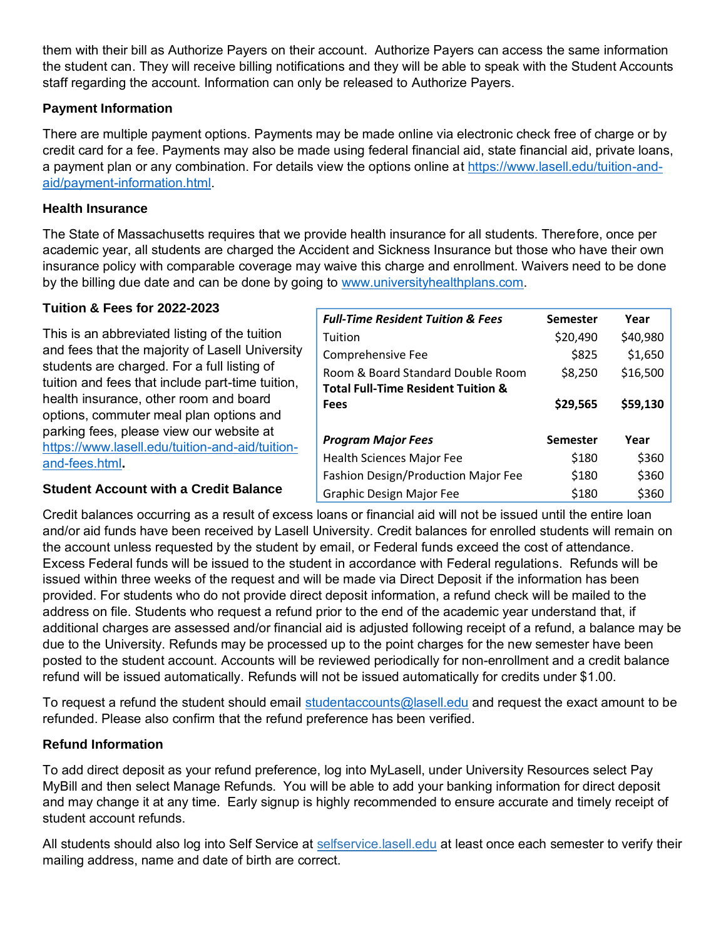them with their bill as Authorize Payers on their account. Authorize Payers can access the same information the student can. They will receive billing notifications and they will be able to speak with the Student Accounts staff regarding the account. Information can only be released to Authorize Payers.

#### **Payment Information**

There are multiple payment options. Payments may be made online via electronic check free of charge or by credit card for a fee. Payments may also be made using federal financial aid, state financial aid, private loans, a payment plan or any combination. For details view the options online at [https://www.lasell.edu/tuition-and](https://www.lasell.edu/tuition-and-aid/payment-information.html)[aid/payment-information.html.](https://www.lasell.edu/tuition-and-aid/payment-information.html)

#### **Health Insurance**

The State of Massachusetts requires that we provide health insurance for all students. Therefore, once per academic year, all students are charged the Accident and Sickness Insurance but those who have their own insurance policy with comparable coverage may waive this charge and enrollment. Waivers need to be done by the billing due date and can be done by going to [www.universityhealthplans.com.](http://www.universityhealthplans.com/)

#### **Tuition & Fees for 2022-2023**

This is an abbreviated listing of the tuition and fees that the majority of Lasell University students are charged. For a full listing of tuition and fees that include part-time tuition, health insurance, other room and board options, commuter meal plan options and parking fees, please view our website at [https://www.lasell.edu/tuition-and-aid/tuition](https://www.lasell.edu/tuition-and-aid/tuition-and-fees.html)[and-fees.html](https://www.lasell.edu/tuition-and-aid/tuition-and-fees.html)**.**

| <b>Full-Time Resident Tuition &amp; Fees</b>  | Semester | Year     |
|-----------------------------------------------|----------|----------|
| Tuition                                       | \$20,490 | \$40,980 |
| Comprehensive Fee                             | \$825    | \$1,650  |
| Room & Board Standard Double Room             | \$8,250  | \$16,500 |
| <b>Total Full-Time Resident Tuition &amp;</b> |          |          |
| Fees                                          | \$29,565 | \$59,130 |
|                                               |          |          |
| <b>Program Major Fees</b>                     | Semester | Year     |
| <b>Health Sciences Major Fee</b>              | \$180    | \$360    |
| Fashion Design/Production Major Fee           | \$180    | \$360    |
| <b>Graphic Design Major Fee</b>               | \$180    | \$360    |

#### **Student Account with a Credit Balance**

Credit balances occurring as a result of excess loans or financial aid will not be issued until the entire loan and/or aid funds have been received by Lasell University. Credit balances for enrolled students will remain on the account unless requested by the student by email, or Federal funds exceed the cost of attendance. Excess Federal funds will be issued to the student in accordance with Federal regulations. Refunds will be issued within three weeks of the request and will be made via Direct Deposit if the information has been provided. For students who do not provide direct deposit information, a refund check will be mailed to the address on file. Students who request a refund prior to the end of the academic year understand that, if additional charges are assessed and/or financial aid is adjusted following receipt of a refund, a balance may be due to the University. Refunds may be processed up to the point charges for the new semester have been posted to the student account. Accounts will be reviewed periodically for non-enrollment and a credit balance refund will be issued automatically. Refunds will not be issued automatically for credits under \$1.00.

To request a refund the student should email [studentaccounts@lasell.edu](mailto:studentaccounts@lasell.edu) and request the exact amount to be refunded. Please also confirm that the refund preference has been verified.

#### **Refund Information**

To add direct deposit as your refund preference, log into MyLasell, under University Resources select Pay MyBill and then select Manage Refunds. You will be able to add your banking information for direct deposit and may change it at any time. Early signup is highly recommended to ensure accurate and timely receipt of student account refunds.

All students should also log into Self Service at [selfservice.lasell.edu](https://selfservice.lasell.edu/SelfService/Home.aspx) at least once each semester to verify their mailing address, name and date of birth are correct.